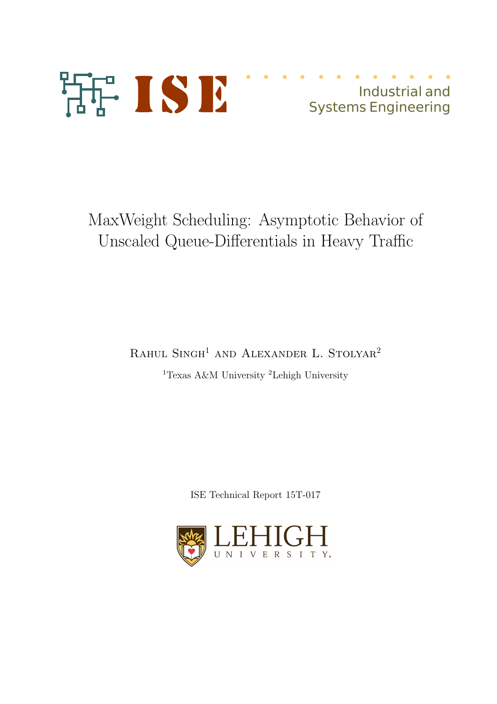

Industrial and Systems Engineering

MaxWeight Scheduling: Asymptotic Behavior of Unscaled Queue-Differentials in Heavy Traffic

RAHUL SINGH<sup>1</sup> AND ALEXANDER L. STOLYAR<sup>2</sup>

<sup>1</sup>Texas A&M University <sup>2</sup>Lehigh University

ISE Technical Report 15T-017

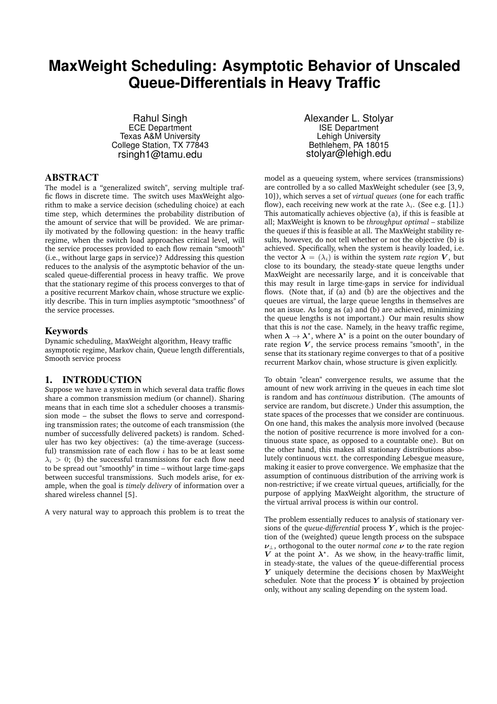# **MaxWeight Scheduling: Asymptotic Behavior of Unscaled Queue-Differentials in Heavy Traffic**

Rahul Singh ECE Department Texas A&M University College Station, TX 77843 rsingh1@tamu.edu

# ABSTRACT

The model is a "generalized switch", serving multiple traffic flows in discrete time. The switch uses MaxWeight algorithm to make a service decision (scheduling choice) at each time step, which determines the probability distribution of the amount of service that will be provided. We are primarily motivated by the following question: in the heavy traffic regime, when the switch load approaches critical level, will the service processes provided to each flow remain "smooth" (i.e., without large gaps in service)? Addressing this question reduces to the analysis of the asymptotic behavior of the unscaled queue-differential process in heavy traffic. We prove that the stationary regime of this process converges to that of a positive recurrent Markov chain, whose structure we explicitly describe. This in turn implies asymptotic "smoothness" of the service processes.

#### Keywords

Dynamic scheduling, MaxWeight algorithm, Heavy traffic asymptotic regime, Markov chain, Queue length differentials, Smooth service process

## 1. INTRODUCTION

Suppose we have a system in which several data traffic flows share a common transmission medium (or channel). Sharing means that in each time slot a scheduler chooses a transmission mode – the subset the flows to serve and corresponding transmission rates; the outcome of each transmission (the number of successfully delivered packets) is random. Scheduler has two key objectives: (a) the time-average (successful) transmission rate of each flow  $i$  has to be at least some  $\lambda_i > 0$ ; (b) the successful transmissions for each flow need to be spread out "smoothly" in time – without large time-gaps between succesful transmissions. Such models arise, for example, when the goal is *timely delivery* of information over a shared wireless channel [5].

A very natural way to approach this problem is to treat the

Alexander L. Stolyar ISE Department Lehigh University Bethlehem, PA 18015 stolyar@lehigh.edu

model as a queueing system, where services (transmissions) are controlled by a so called MaxWeight scheduler (see [3, 9, 10]), which serves a set of *virtual queues* (one for each traffic flow), each receiving new work at the rate  $\lambda_i$ . (See e.g. [1].) This automatically achieves objective (a), if this is feasible at all; MaxWeight is known to be *throughput optimal* – stabilize the queues if this is feasible at all. The MaxWeight stability results, however, do not tell whether or not the objective (b) is achieved. Specifically, when the system is heavily loaded, i.e. the vector  $\lambda = (\lambda_i)$  is within the system *rate region* V, but close to its boundary, the steady-state queue lengths under MaxWeight are necessarily large, and it is conceivable that this may result in large time-gaps in service for individual flows. (Note that, if (a) and (b) are the objectives and the queues are virtual, the large queue lengths in themselves are not an issue. As long as (a) and (b) are achieved, minimizing the queue lengths is not important.) Our main results show that this is *not* the case. Namely, in the heavy traffic regime, when  $\lambda \to \lambda^*$ , where  $\lambda^*$  is a point on the outer boundary of rate region  $V$ , the service process remains "smooth", in the sense that its stationary regime converges to that of a positive recurrent Markov chain, whose structure is given explicitly.

To obtain "clean" convergence results, we assume that the amount of new work arriving in the queues in each time slot is random and has *continuous* distribution. (The amounts of service are random, but discrete.) Under this assumption, the state spaces of the processes that we consider are continuous. On one hand, this makes the analysis more involved (because the notion of positive recurrence is more involved for a continuous state space, as opposed to a countable one). But on the other hand, this makes all stationary distributions absolutely continuous w.r.t. the corresponding Lebesgue measure, making it easier to prove convergence. We emphasize that the assumption of continuous distribution of the arriving work is non-restrictive; if we create virtual queues, artificially, for the purpose of applying MaxWeight algorithm, the structure of the virtual arrival process is within our control.

The problem essentially reduces to analysis of stationary versions of the *queue-differential* process  $Y$ , which is the projection of the (weighted) queue length process on the subspace  $\nu_{\perp}$ , orthogonal to the outer *normal cone*  $\nu$  to the rate region V at the point  $\lambda^*$ . As we show, in the heavy-traffic limit, in steady-state, the values of the queue-differential process Y uniquely determine the decisions chosen by MaxWeight scheduler. Note that the process  $Y$  is obtained by projection only, without any scaling depending on the system load.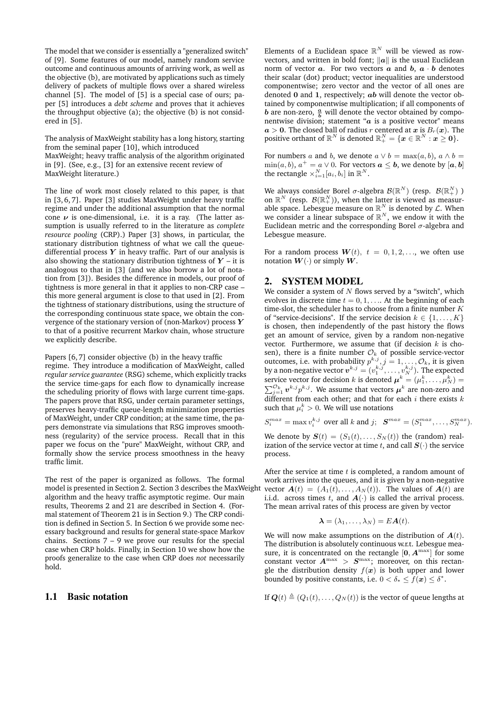The model that we consider is essentially a "generalized switch" of [9]. Some features of our model, namely random service outcome and continuous amounts of arriving work, as well as the objective (b), are motivated by applications such as timely delivery of packets of multiple flows over a shared wireless channel [5]. The model of [5] is a special case of ours; paper [5] introduces a *debt scheme* and proves that it achieves the throughput objective (a); the objective (b) is not considered in [5].

The analysis of MaxWeight stability has a long history, starting from the seminal paper [10], which introduced MaxWeight; heavy traffic analysis of the algorithm originated in [9]. (See, e.g., [3] for an extensive recent review of MaxWeight literature.)

The line of work most closely related to this paper, is that in [3, 6, 7]. Paper [3] studies MaxWeight under heavy traffic regime and under the additional assumption that the normal cone  $\nu$  is one-dimensional, i.e. it is a ray. (The latter assumption is usually referred to in the literature as *complete resource pooling* (CRP).) Paper [3] shows, in particular, the stationary distribution tightness of what we call the queuedifferential process  $Y$  in heavy traffic. Part of our analysis is also showing the stationary distribution tightness of  $Y$  – it is analogous to that in [3] (and we also borrow a lot of notation from [3]). Besides the difference in models, our proof of tightness is more general in that it applies to non-CRP case – this more general argument is close to that used in [2]. From the tightness of stationary distributions, using the structure of the corresponding continuous state space, we obtain the convergence of the stationary version of (non-Markov) process  $Y$ to that of a positive recurrent Markov chain, whose structure we explicitly describe.

Papers [6, 7] consider objective (b) in the heavy traffic regime. They introduce a modification of MaxWeight, called *regular service guarantee* (RSG) scheme, which explicitly tracks the service time-gaps for each flow to dynamically increase the scheduling priority of flows with large current time-gaps. The papers prove that RSG, under certain parameter settings, preserves heavy-traffic queue-length minimization properties of MaxWeight, under CRP condition; at the same time, the papers demonstrate via simulations that RSG improves smoothness (regularity) of the service process. Recall that in this paper we focus on the "pure" MaxWeight, without CRP, and formally show the service process smoothness in the heavy traffic limit.

The rest of the paper is organized as follows. The formal model is presented in Section 2. Section 3 describes the MaxWeight algorithm and the heavy traffic asymptotic regime. Our main results, Theorems 2 and 21 are described in Section 4. (Formal statement of Theorem 21 is in Section 9.) The CRP condition is defined in Section 5. In Section 6 we provide some necessary background and results for general state-space Markov chains. Sections  $7 - 9$  we prove our results for the special case when CRP holds. Finally, in Section 10 we show how the proofs generalize to the case when CRP does *not* necessarily hold.

## 1.1 Basic notation

Elements of a Euclidean space  $\mathbb{R}^N$  will be viewed as rowvectors, and written in bold font;  $\|a\|$  is the usual Euclidean norm of vector  $a$ . For two vectors  $a$  and  $b$ ,  $a \cdot b$  denotes their scalar (dot) product; vector inequalities are understood componentwise; zero vector and the vector of all ones are denoted  $0$  and  $1$ , respectively;  $ab$  will denote the vector obtained by componentwise multiplication; if all components of *b* are non-zero,  $\frac{a}{b}$  will denote the vector obtained by componentwise division; statement " $a$  is a positive vector" means  $a > 0$ . The closed ball of radius r centered at x is  $B_r(x)$ . The positive orthant of  $\mathbb{R}^N$  is denoted  $\mathbb{R}^N_+ = \{\bm{x} \in \mathbb{R}^N: \bm{x} \geq \bm{0}\}.$ 

For numbers a and b, we denote  $a \vee b = \max(a, b)$ ,  $a \wedge b =$  $\min(a, b), a^+ = a \vee 0$ . For vectors  $a \leq b$ , we denote by  $[a, b]$ the rectangle  $\times_{i=1}^N [a_i, b_i]$  in  $\mathbb{R}^N$ .

We always consider Borel  $\sigma$ -algebra  ${\mathcal B}({\mathbb R}^{N})$  (resp.  ${\mathcal B}({\mathbb R}^{N}_{+})$  ) on  $\mathbb{R}^N$  (resp.  $\mathcal{B}(\mathbb{R}^N_+))$ , when the latter is viewed as measurable space. Lebesgue measure on  $\mathbb{R}^N$  is denoted by  $\mathcal{L}$ . When we consider a linear subspace of  $\mathbb{R}^N$ , we endow it with the Euclidean metric and the corresponding Borel  $\sigma$ -algebra and Lebesgue measure.

For a random process  $W(t)$ ,  $t = 0, 1, 2, \ldots$ , we often use notation  $W(\cdot)$  or simply  $\overline{W}$ .

## 2. SYSTEM MODEL

We consider a system of  $N$  flows served by a "switch", which evolves in discrete time  $t = 0, 1, \ldots$  At the beginning of each time-slot, the scheduler has to choose from a finite number  $K$ of "service-decisions". If the service decision  $k \in \{1, \ldots, K\}$ is chosen, then independently of the past history the flows get an amount of service, given by a random non-negative vector. Furthermore, we assume that (if decision  $k$  is chosen), there is a finite number  $\mathcal{O}_k$  of possible service-vector outcomes, i.e. with probability  $p^{k,j}$ ,  $j = 1, \ldots, \mathcal{O}_k$ , it is given by a non-negative vector  $\boldsymbol{v}^{k,j} = (v_1^{k,j}, \dots, v_N^{k,j}).$  The expected service vector for decision  $k$  is denoted  $\boldsymbol{\mu}^k = (\mu^k_1, \dots, \mu^k_N) =$  $\sum_{j=1}^{\mathcal{O}_k} v^{k,j} p^{k,j}.$  We assume that vectors  $\boldsymbol{\mu}^k$  are non-zero and different from each other; and that for each  $i$  there exists  $k$ such that  $\mu_i^k > 0$ . We will use notations

$$
S_i^{max} = \max v_i^{k,j} \text{ over all } k \text{ and } j; \quad \mathbf{S}^{max} = (S_1^{max}, \dots, S_N^{max}).
$$

We denote by  $S(t) = (S_1(t), \ldots, S_N(t))$  the (random) realization of the service vector at time t, and call  $S(\cdot)$  the service process.

After the service at time  $t$  is completed, a random amount of work arrives into the queues, and it is given by a non-negative vector  $A(t) = (A_1(t), \ldots, A_N(t))$ . The values of  $A(t)$  are i.i.d. across times t, and  $A(\cdot)$  is called the arrival process. The mean arrival rates of this process are given by vector

$$
\boldsymbol{\lambda}=(\lambda_1,\ldots,\lambda_N)=E\boldsymbol{A}(t).
$$

We will now make assumptions on the distribution of  $A(t)$ . The distribution is absolutely continuous w.r.t. Lebesgue measure, it is concentrated on the rectangle  $[0, A^{\max}]$  for some constant vector  $A^{\max} > S^{\max}$ ; moreover, on this rectangle the distribution density  $f(x)$  is both upper and lower bounded by positive constants, i.e.  $0 < \delta_* \leq f(\boldsymbol{x}) \leq \delta^*$ .

If  $\mathbf{Q}(t) \triangleq (Q_1(t), \ldots, Q_N(t))$  is the vector of queue lengths at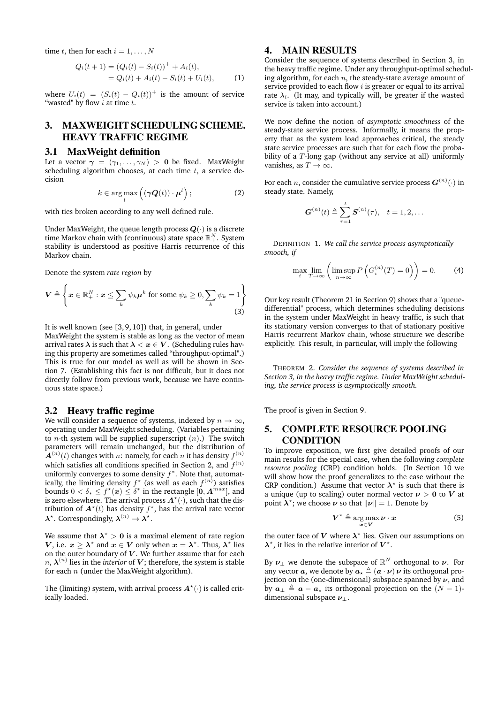time t, then for each  $i = 1, \ldots, N$ 

$$
Q_i(t+1) = (Q_i(t) - S_i(t))^+ + A_i(t),
$$
  
=  $Q_i(t) + A_i(t) - S_i(t) + U_i(t),$  (1)

where  $U_i(t) = (S_i(t) - Q_i(t))^+$  is the amount of service "wasted" by flow  $i$  at time  $t$ .

# 3. MAXWEIGHT SCHEDULING SCHEME. HEAVY TRAFFIC REGIME

#### 3.1 MaxWeight definition

Let a vector  $\gamma = (\gamma_1, \ldots, \gamma_N) > 0$  be fixed. MaxWeight scheduling algorithm chooses, at each time  $t$ , a service decision

$$
k \in \arg\max_{l} \left( (\gamma \mathbf{Q}(t)) \cdot \boldsymbol{\mu}^{l} \right); \tag{2}
$$

with ties broken according to any well defined rule.

Under MaxWeight, the queue length process  $Q(\cdot)$  is a discrete time Markov chain with (continuous) state space  $\mathbb{R}^N_+$ . System stability is understood as positive Harris recurrence of this Markov chain.

Denote the system *rate region* by

$$
\boldsymbol{V} \triangleq \left\{ \boldsymbol{x} \in \mathbb{R}_+^N : \boldsymbol{x} \le \sum_k \psi_k \boldsymbol{\mu}^k \text{ for some } \psi_k \ge 0, \sum_k \psi_k = 1 \right\}
$$
(3)

It is well known (see [3, 9, 10]) that, in general, under MaxWeight the system is stable as long as the vector of mean arrival rates  $\lambda$  is such that  $\lambda < x \in V$ . (Scheduling rules having this property are sometimes called "throughput-optimal".) This is true for our model as well as will be shown in Section 7. (Establishing this fact is not difficult, but it does not directly follow from previous work, because we have continuous state space.)

#### 3.2 Heavy traffic regime

We will consider a sequence of systems, indexed by  $n \to \infty$ , operating under MaxWeight scheduling. (Variables pertaining to *n*-th system will be supplied superscript  $(n)$ .) The switch parameters will remain unchanged, but the distribution of  $\boldsymbol{A}^{(n)}(t)$  changes with  $n:$  namely, for each  $n$  it has density  $f^{(n)}$ which satisfies all conditions specified in Section 2, and  $f^{(n)}$ uniformly converges to some density  $f^*$ . Note that, automatically, the limiting density  $f^{\star}$  (as well as each  $f^{(n)}$ ) satisfies bounds  $0 < \delta_* \leq f^{\star}(\boldsymbol{x}) \leq \delta^*$  in the rectangle  $[\boldsymbol{0}, \boldsymbol{A}^{max}]$ , and is zero elsewhere. The arrival process  $A^{\star}(\cdot)$ , such that the distribution of  $\mathbf{A}^{\star}(t)$  has density  $f^{\star}$ , has the arrival rate vector  $\lambda^*$ . Correspondingly,  $\lambda^{(n)} \to \lambda^*$ .

We assume that  $\lambda^\star > 0$  is a maximal element of rate region V, i.e.  $x \geq \lambda^*$  and  $x \in V$  only when  $x = \lambda^*$ . Thus,  $\lambda^*$  lies on the outer boundary of  $V$ . We further assume that for each  $n$ ,  $\boldsymbol{\lambda}^{(n)}$  lies in the *interior* of  $\boldsymbol{V};$  therefore, the system is stable for each  $n$  (under the MaxWeight algorithm).

The (limiting) system, with arrival process  $A^{\star}(\cdot)$  is called critically loaded.

# 4. MAIN RESULTS

Consider the sequence of systems described in Section 3, in the heavy traffic regime. Under any throughput-optimal scheduling algorithm, for each  $n$ , the steady-state average amount of service provided to each flow  $i$  is greater or equal to its arrival rate  $\lambda_i$ . (It may, and typically will, be greater if the wasted service is taken into account.)

We now define the notion of *asymptotic smoothness* of the steady-state service process. Informally, it means the property that as the system load approaches critical, the steady state service processes are such that for each flow the probability of a T-long gap (without any service at all) uniformly vanishes, as  $T \to \infty$ .

For each  $n,$  consider the cumulative service process  $\boldsymbol{G}^{(n)}(\cdot)$  in steady state. Namely,

$$
\bm{G}^{(n)}(t) \triangleq \sum_{\tau=1}^{t} \bm{S}^{(n)}(\tau), \quad t = 1, 2, \ldots
$$

DEFINITION 1. *We call the service process asymptotically smooth, if*

$$
\max_{i} \lim_{T \to \infty} \left( \limsup_{n \to \infty} P\left( G_i^{(n)}(T) = 0 \right) \right) = 0. \tag{4}
$$

Our key result (Theorem 21 in Section 9) shows that a "queuedifferential" process, which determines scheduling decisions in the system under MaxWeight in heavy traffic, is such that its stationary version converges to that of stationary positive Harris recurrent Markov chain, whose structure we describe explicitly. This result, in particular, will imply the following

THEOREM 2. *Consider the sequence of systems described in Section 3, in the heavy traffic regime. Under MaxWeight scheduling, the service process is asymptotically smooth.*

The proof is given in Section 9.

## 5. COMPLETE RESOURCE POOLING CONDITION

To improve exposition, we first give detailed proofs of our main results for the special case, when the following *complete resource pooling* (CRP) condition holds. (In Section 10 we will show how the proof generalizes to the case without the CRP condition.) Assume that vector  $\lambda^*$  is such that there is a unique (up to scaling) outer normal vector  $\nu > 0$  to V at point  $\lambda^*$ ; we choose  $\nu$  so that  $\|\nu\| = 1$ . Denote by

$$
V^* \triangleq \underset{x \in V}{\arg \max} \nu \cdot x \tag{5}
$$

the outer face of V where  $\lambda^*$  lies. Given our assumptions on  $\lambda^*$ , it lies in the relative interior of  $V^*$ .

By  $\boldsymbol \nu_\perp$  we denote the subspace of  $\mathbb{R}^N$  orthogonal to  $\boldsymbol \nu.$  For any vector  $\boldsymbol{a}$ , we denote by  $\boldsymbol{a}_* \triangleq (\boldsymbol{a} \cdot \boldsymbol{\nu}) \boldsymbol{\nu}$  its orthogonal projection on the (one-dimensional) subspace spanned by  $\nu$ , and by  $a_{\perp} \triangleq a - a_{\star}$  its orthogonal projection on the  $(N - 1)$ dimensional subspace  $\nu_{\perp}$ .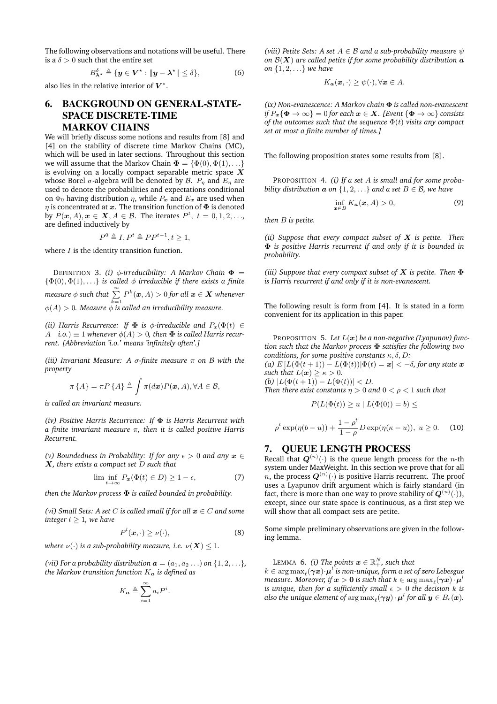The following observations and notations will be useful. There is a  $\delta > 0$  such that the entire set

$$
B_{\boldsymbol{\lambda}^\star}^\delta \triangleq \{ \boldsymbol{y} \in \boldsymbol{V}^\star : ||\boldsymbol{y} - \boldsymbol{\lambda}^\star|| \leq \delta \},\tag{6}
$$

also lies in the relative interior of  $V^*$ .

# 6. BACKGROUND ON GENERAL-STATE-SPACE DISCRETE-TIME MARKOV CHAINS

We will briefly discuss some notions and results from [8] and [4] on the stability of discrete time Markov Chains (MC), which will be used in later sections. Throughout this section we will assume that the Markov Chain  $\mathbf{\Phi} = \{ \Phi(0), \Phi(1), \ldots \}$ is evolving on a locally compact separable metric space  $X$ whose Borel  $\sigma$ -algebra will be denoted by  $\mathcal{B}$ .  $P_n$  and  $E_n$  are used to denote the probabilities and expectations conditional on  $\Phi_0$  having distribution  $\eta$ , while  $P_x$  and  $E_x$  are used when  $\eta$  is concentrated at x. The transition function of  $\Phi$  is denoted by  $P(\boldsymbol{x}, A), \boldsymbol{x} \in \mathbf{X}, A \in \mathcal{B}$ . The iterates  $P^t, t = 0, 1, 2, \ldots$ , are defined inductively by

$$
P^0 \triangleq I, P^t \triangleq PP^{t-1}, t \ge 1,
$$

where  $I$  is the identity transition function.

DEFINITION 3. *(i)*  $\phi$ -irreducibility: A Markov Chain  $\Phi$  =  $\{\Phi(0), \Phi(1), \ldots\}$  *is called*  $\phi$  *irreducible if there exists a finite measure*  $\phi$  *such that*  $\sum_{k=1}^{\infty} P^k(\boldsymbol{x},A) > 0$  for all  $\boldsymbol{x} \in \boldsymbol{X}$  whenever  $\phi(A) > 0$ . Measure  $\phi$  is called an irreducibility measure.

*(ii) Harris Recurrence: If*  $\Phi$  *is*  $\phi$ *-irreducible and*  $P_x(\Phi(t) \in$  $A$  *i.o.*)  $\equiv$  1 *whenever*  $\phi(A) > 0$ *, then*  $\Phi$  *is called Harris recurrent. [Abbreviation 'i.o.' means 'infinitely often'.]*

*(iii) Invariant Measure: A* σ*-finite measure* π *on* B *with the property*

$$
\pi\{A\} = \pi P\{A\} \triangleq \int \pi(d\boldsymbol{x}) P(\boldsymbol{x}, A), \forall A \in \mathcal{B},
$$

*is called an invariant measure.*

*(iv) Positive Harris Recurrence: If* Φ *is Harris Recurrent with a finite invariant measure* π*, then it is called positive Harris Recurrent.*

*(v) Boundedness in Probability: If for any*  $\epsilon > 0$  *and any*  $x \in$ X*, there exists a compact set* D *such that*

$$
\lim_{t \to \infty} \inf_{P_{\mathbf{x}}(\Phi(t) \in D) \ge 1 - \epsilon,\tag{7}
$$

.

*then the Markov process* Φ *is called bounded in probability.*

*(vi)* Small Sets: A set *C* is called small if for all  $x \in C$  and some *integer*  $l \geq 1$ *, we have* 

$$
P^{l}(\boldsymbol{x},\cdot) \geq \nu(\cdot),\tag{8}
$$

*where*  $\nu(\cdot)$  *is a sub-probability measure, i.e.*  $\nu(\mathbf{X}) < 1$ *.* 

*(vii) For a probability distribution*  $\boldsymbol{a} = (a_1, a_2 \dots)$  on  $\{1, 2, \dots\}$ *, the Markov transition function*  $K_a$  *is defined as* 

$$
K_{\mathbf{a}} \triangleq \sum_{i=1}^{\infty} a_i P^i
$$

*(viii) Petite Sets: A set*  $A \in \mathcal{B}$  *and a sub-probability measure*  $\psi$ on  $\mathcal{B}(X)$  are called petite if for some probability distribution  $a$ *on* {1, 2, . . .} *we have*

$$
K_{\mathbf{a}}(\mathbf{x},\cdot)\geq\psi(\cdot),\forall\mathbf{x}\in A.
$$

*(ix) Non-evanescence: A Markov chain* Φ *is called non-evanescent if*  $P_x{\Phi \to \infty} = 0$  *for each*  $x \in X$ *.* [*Event*  ${\Phi \to \infty}$  *consists of the outcomes such that the sequence* Φ(t) *visits any compact set at most a finite number of times.]*

The following proposition states some results from [8].

PROPOSITION 4. *(i) If a set* A *is small and for some probability distribution*  $\boldsymbol{a}$  *on*  $\{1, 2, \ldots\}$  *and*  $\boldsymbol{a}$  *set*  $B \in \mathcal{B}$ *, we have* 

$$
\inf_{\boldsymbol{x}\in B} K_{\boldsymbol{a}}(\boldsymbol{x}, A) > 0,\tag{9}
$$

*then* B *is petite.*

*(ii) Suppose that every compact subset of* X *is petite. Then* Φ *is positive Harris recurrent if and only if it is bounded in probability.*

*(iii) Suppose that every compact subset of* X *is petite. Then* Φ *is Harris recurrent if and only if it is non-evanescent.*

The following result is form from [4]. It is stated in a form convenient for its application in this paper.

PROPOSITION 5. *Let* L(x) *be a non-negative (Lyapunov) function such that the Markov process* Φ *satisfies the following two conditions, for some positive constants* κ, δ, D*:*

(a)  $E\left[L(\Phi(t+1)) - L(\Phi(t)) | \Phi(t) = \mathbf{x}\right] < -\delta$ , for any state  $\mathbf{x}$ *such that*  $L(x) > \kappa > 0$ *. (b)*  $|L(\Phi(t+1)) - L(\Phi(t))| < D$ .

Then there exist constants 
$$
\eta > 0
$$
 and  $0 < \rho < 1$  such that

$$
P(L(\Phi(t))\geq u\mid L(\Phi(0))=b)\leq
$$

$$
\rho^t \exp(\eta(b-u)) + \frac{1-\rho^t}{1-\rho} D \exp(\eta(\kappa - u)), \ u \ge 0. \tag{10}
$$

#### 7. QUEUE LENGTH PROCESS

Recall that  $\bm{Q}^{(n)}(\cdot)$  is the queue length process for the  $n\text{-th}$ system under MaxWeight. In this section we prove that for all  $n$ , the process  $\boldsymbol{Q}^{(n)}(\cdot)$  is positive Harris recurrent. The proof uses a Lyapunov drift argument which is fairly standard (in fact, there is more than one way to prove stability of  $\bm{Q}^{(n)}(\cdot)),$ except, since our state space is continuous, as a first step we will show that all compact sets are petite.

Some simple preliminary observations are given in the following lemma.

LEMMA 6. *(i) The points*  $\boldsymbol{x} \in \mathbb{R}^N_+$ *, such that* 

 $k \in \argmax_{\ell}(\bm{\gamma x}) \!\cdot\! \bm{\mu}^l$  is non-unique, form a set of zero Lebesgue measure. Moreover, if  $\bm{x} > \bm{0}$  is such that  $k \in \argmax_{\ell}(\bm{\gamma} \bm{x}) \cdot \bm{\mu}^l$ *is unique, then for a sufficiently small*  $\epsilon > 0$  *the decision k is* also the unique element of  $\argmax_{\ell} (\bm{\gamma y}) \cdot \bm{\mu}^l$  for all  $\bm{y} \in B_{\epsilon}(\bm{x})$ .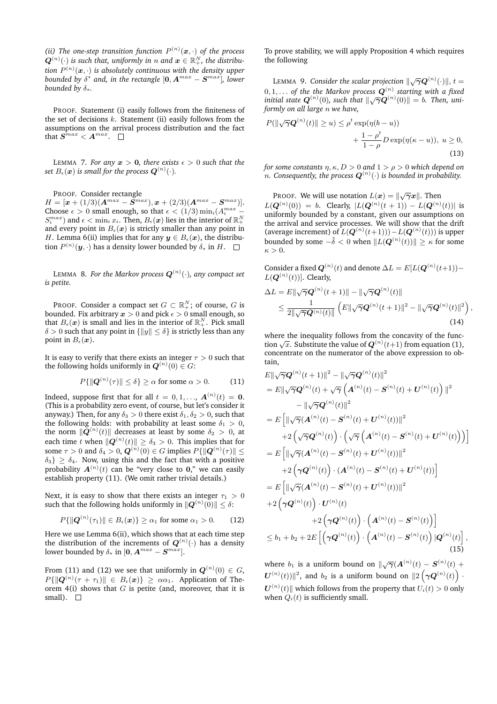*(ii)* The one-step transition function  $P^{(n)}(\boldsymbol{x},\cdot)$  of the process  $\boldsymbol{Q}^{(n)}(\cdot)$  is such that, uniformly in  $n$  and  $\boldsymbol{x} \in \mathbb{R}_{+}^{N}$ , the distribution  $P^{(n)}(\boldsymbol{x},\cdot)$  is absolutely continuous with the density upper  $b$ ounded by  $\delta^*$  and, in the rectangle  $[\mathbf{0}, \boldsymbol{A}^{max}-\boldsymbol{S}^{max}]$ , lower *bounded by*  $\delta_*$ *.* 

PROOF. Statement (i) easily follows from the finiteness of the set of decisions  $k$ . Statement (ii) easily follows from the assumptions on the arrival process distribution and the fact that  $\boldsymbol{S}^{max} < \boldsymbol{A}^{max}.$ 

LEMMA 7. For any  $x > 0$ , there exists  $\epsilon > 0$  such that the set  $B_\epsilon(\bm{x})$  is small for the process  $\bm{Q}^{(n)}(\cdot)$ .

PROOF. Consider rectangle

 $H = [\bm{x} + (1/3)(\bm{A}^{max} - \bm{S}^{max}), \bm{x} + (2/3)(\bm{A}^{max} - \bm{S}^{max})].$ Choose  $\epsilon > 0$  small enough, so that  $\epsilon < (1/3) \min_i (A_i^{max} S_i^{max})$  and  $\epsilon < \min_i x_i$ . Then,  $B_{\epsilon}(\boldsymbol{x})$  lies in the interior of  $\mathbb{R}^N_+$ and every point in  $B_{\epsilon}(\boldsymbol{x})$  is strictly smaller than any point in H. Lemma 6(ii) implies that for any  $y \in B_{\epsilon}(x)$ , the distribution  $P^{(n)}(\bm{y},\cdot)$  has a density lower bounded by  $\delta_*$  in  $H.$ 

LEMMA  $\,$  8. *For the Markov process*  $\boldsymbol{Q}^{(n)}(\cdot)$ *, any compact set is petite.*

PROOF. Consider a compact set  $G \subset \mathbb{R}^N_+;$  of course,  $G$  is bounded. Fix arbitrary  $x > 0$  and pick  $\epsilon > 0$  small enough, so that  $B_\epsilon(\boldsymbol{x})$  is small and lies in the interior of  $\mathbb{R}^N_+$ . Pick small  $\delta > 0$  such that any point in  $\{||y|| \leq \delta\}$  is strictly less than any point in  $B_{\epsilon}(\boldsymbol{x})$ .

It is easy to verify that there exists an integer  $\tau > 0$  such that the following holds uniformly in  $\boldsymbol{Q}^{(n)}(0) \in G$ :

$$
P\{\|\mathbf{Q}^{(n)}(\tau)\| \le \delta\} \ge \alpha \text{ for some } \alpha > 0. \tag{11}
$$

Indeed, suppose first that for all  $t = 0, 1, \ldots, A^{(n)}(t) = 0$ . (This is a probability zero event, of course, but let's consider it anyway.) Then, for any  $\delta_3 > 0$  there exist  $\delta_1, \delta_2 > 0$ , such that the following holds: with probability at least some  $\delta_1 > 0$ , the norm  $\|\dot{\boldsymbol{Q}}^{(n)}(t)\|$  decreases at least by some  $\delta_2 \,>\, 0,$  at each time  $t$  when  $\|\boldsymbol{Q}^{(n)}(t)\| \geq \delta_3 > 0.$  This implies that for some  $\tau > 0$  and  $\delta_4 > 0$ ,  $\boldsymbol{Q}^{(n)}(0) \in G$  implies  $P\{\|\boldsymbol{Q}^{(n)}(\tau)\| \leq \tau\}$  $\{\delta_3\} \geq \delta_4$ . Now, using this and the fact that with a positive probability  $\boldsymbol{A}^{(n)}(t)$  can be "very close to  $\boldsymbol{0},$ " we can easily establish property (11). (We omit rather trivial details.)

Next, it is easy to show that there exists an integer  $\tau_1 > 0$ such that the following holds uniformly in  $\|\boldsymbol{Q}^{(n)}(0)\|\leq \delta$ :

$$
P\{\|\mathbf{Q}^{(n)}(\tau_1)\| \in B_{\epsilon}(\boldsymbol{x})\} \geq \alpha_1 \text{ for some } \alpha_1 > 0. \qquad (12)
$$

Here we use Lemma 6(ii), which shows that at each time step the distribution of the increments of  $\bm{Q}^{(n)}(\cdot)$  has a density lower bounded by  $\delta_*$  in [0,  $A^{max} - S^{max}$ ].

From (11) and (12) we see that uniformly in  $\boldsymbol{Q}^{(n)}(0)\in G,$  $P\{\|\boldsymbol{Q}^{(n)}(\tau+\tau_1)\| \, \in \, B_{\epsilon}(\boldsymbol{x})\} \, \geq \, \alpha \alpha_1.$  Application of Theorem  $4(i)$  shows that G is petite (and, moreover, that it is small).  $\square$ 

To prove stability, we will apply Proposition 4 which requires the following

LEMMA 9. Consider the scalar projection  $\|\sqrt{\gamma} \bm Q^{(n)}(\cdot)\|,$  t  $=$  $0, 1, \ldots$  of the the Markov process  $\boldsymbol{Q}^{(n)}$  starting with a fixed  $\mathbf{Q}^{(n)}(0)$ , such that  $\|\sqrt{\gamma}\mathbf{Q}^{(n)}(0)\| = b$ . Then, uni*formly on all large* n *we have,*

$$
P(\|\sqrt{\gamma}\mathbf{Q}^{(n)}(t)\| \ge u) \le \rho^t \exp(\eta(b-u))
$$
  
 
$$
+ \frac{1-\rho^t}{1-\rho}D\exp(\eta(\kappa-u)), \ u \ge 0,
$$
 (13)

*for some constants*  $n, \kappa, D > 0$  *and*  $1 > \rho > 0$  *which depend on*  $n.$  Consequently, the process  $\boldsymbol{Q}^{(n)}(\cdot)$  is bounded in probability.

PROOF. We will use notation  $L(\boldsymbol{x}) = \|\sqrt{\gamma} \boldsymbol{x}\|$ . Then  $L(\mathbf{Q}^{(n)}(0)) = b$ . Clearly,  $|L(\mathbf{Q}^{(n)}(t+1)) - L(\mathbf{Q}^{(n)}(t))|$  is uniformly bounded by a constant, given our assumptions on the arrival and service processes. We will show that the drift (average increment) of  $L(\mathbf{Q}^{(n)}(t+1))) - L(\mathbf{Q}^{(n)}(t))$ ) is upper bounded by some  $-\tilde{\delta} < 0$  when  $\|L(\boldsymbol{Q}^{(n)}(t))\| \geq \kappa$  for some  $\kappa > 0$ .

Consider a fixed  $\bm{Q}^{(n)}(t)$  and denote  $\Delta L = E[L(\bm{Q}^{(n)}(t+1)) L(\boldsymbol{Q}^{(n)}(t))$ ]. Clearly,

$$
\Delta L = E\|\sqrt{\gamma}\mathbf{Q}^{(n)}(t+1)\| - \|\sqrt{\gamma}\mathbf{Q}^{(n)}(t)\|
$$
  
\n
$$
\leq \frac{1}{2\|\sqrt{\gamma}\mathbf{Q}^{(n)}(t)\|} \left( E\|\sqrt{\gamma}\mathbf{Q}^{(n)}(t+1)\|^2 - \|\sqrt{\gamma}\mathbf{Q}^{(n)}(t)\|^2 \right),
$$
\n(14)

where the inequality follows from the concavity of the funcwhere the inequality follows from the concavity of the function  $\sqrt{x}$ . Substitute the value of  $\mathbf{Q}^{(n)}(t+1)$  from equation (1), concentrate on the numerator of the above expression to obtain,

$$
E\|\sqrt{\gamma}\mathbf{Q}^{(n)}(t+1)\|^2 - \|\sqrt{\gamma}\mathbf{Q}^{(n)}(t)\|^2
$$
  
\n
$$
= E\|\sqrt{\gamma}\mathbf{Q}^{(n)}(t) + \sqrt{\gamma}\left(\mathbf{A}^{(n)}(t) - \mathbf{S}^{(n)}(t) + \mathbf{U}^{(n)}(t)\right)\|^2
$$
  
\n
$$
- \|\sqrt{\gamma}\mathbf{Q}^{(n)}(t)\|^2
$$
  
\n
$$
= E\left[\|\sqrt{\gamma}(\mathbf{A}^{(n)}(t) - \mathbf{S}^{(n)}(t) + \mathbf{U}^{(n)}(t))\|^2
$$
  
\n
$$
+ 2\left(\sqrt{\gamma}\mathbf{Q}^{(n)}(t)\right) \cdot \left(\sqrt{\gamma}\left(\mathbf{A}^{(n)}(t) - \mathbf{S}^{(n)}(t) + \mathbf{U}^{(n)}(t)\right)\right)\right]
$$
  
\n
$$
= E\left[\|\sqrt{\gamma}(\mathbf{A}^{(n)}(t) - \mathbf{S}^{(n)}(t) + \mathbf{U}^{(n)}(t))\|^2
$$
  
\n
$$
+ 2\left(\gamma\mathbf{Q}^{(n)}(t)\right) \cdot (\mathbf{A}^{(n)}(t) - \mathbf{S}^{(n)}(t) + \mathbf{U}^{(n)}(t))\right]
$$
  
\n
$$
= E\left[\|\sqrt{\gamma}(\mathbf{A}^{(n)}(t) - \mathbf{S}^{(n)}(t) + \mathbf{U}^{(n)}(t))\|^2
$$
  
\n
$$
+ 2\left(\gamma\mathbf{Q}^{(n)}(t)\right) \cdot \mathbf{U}^{(n)}(t)
$$
  
\n
$$
+ 2\left(\gamma\mathbf{Q}^{(n)}(t)\right) \cdot \left(\mathbf{A}^{(n)}(t) - \mathbf{S}^{(n)}(t)\right)\right]
$$
  
\n
$$
\leq b_1 + b_2 + 2E\left[\left(\gamma\mathbf{Q}^{(n)}(t)\right) \cdot \left(\mathbf{A}^{(n)}(t) - \mathbf{S}^{(n)}(t)\right) \mathbf{Q}^{(n)}(t)\right],
$$
  
\n(15)

where  $b_1$  is a uniform bound on  $\|\sqrt{\gamma}(\mathbf{A}^{(n)}(t) - \mathbf{S}^{(n)}(t) + \mathbf{S}^{(n)}(t))\|$  $\|\boldsymbol{U}^{(n)}(t))\|^2$ , and  $b_2$  is a uniform bound on  $\|2\left(\boldsymbol{\gamma}\boldsymbol{Q}^{(n)}(t)\right)\,$ .  $\boldsymbol{U}^{(n)}(t) \|$  which follows from the property that  $U_i(t) > 0$  only when  $Q_i(t)$  is sufficiently small.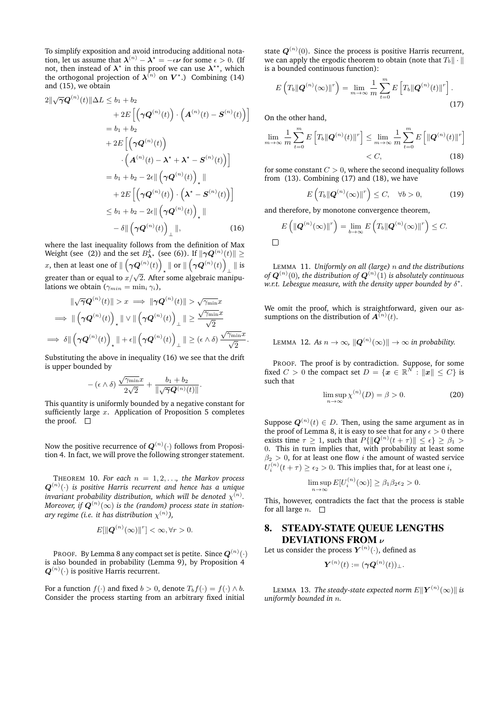To simplify exposition and avoid introducing additional notation, let us assume that  $\boldsymbol{\lambda}^{(n)} - \boldsymbol{\lambda}^* = -\epsilon \boldsymbol{\nu}$  for some  $\epsilon > 0$ . (If not, then instead of  $\lambda^*$  in this proof we can use  $\lambda^{**}$ , which the orthogonal projection of  $\lambda^{(n)}$  on  $V^*$ .) Combining (14) and (15), we obtain

$$
2\|\sqrt{\gamma}\mathbf{Q}^{(n)}(t)\|\Delta L \leq b_1 + b_2
$$
  
+  $2E\left[\left(\gamma\mathbf{Q}^{(n)}(t)\right) \cdot \left(\mathbf{A}^{(n)}(t) - \mathbf{S}^{(n)}(t)\right)\right]$   
=  $b_1 + b_2$   
+  $2E\left[\left(\gamma\mathbf{Q}^{(n)}(t)\right) \cdot \left(\mathbf{A}^{(n)}(t) - \mathbf{\lambda}^* + \mathbf{\lambda}^* - \mathbf{S}^{(n)}(t)\right)\right]$   
=  $b_1 + b_2 - 2\epsilon \|\left(\gamma\mathbf{Q}^{(n)}(t)\right)_+\|$   
+  $2E\left[\left(\gamma\mathbf{Q}^{(n)}(t)\right) \cdot \left(\mathbf{\lambda}^* - \mathbf{S}^{(n)}(t)\right)\right]$   
 $\leq b_1 + b_2 - 2\epsilon \|\left(\gamma\mathbf{Q}^{(n)}(t)\right)_+\|$   
-  $\delta \|\left(\gamma\mathbf{Q}^{(n)}(t)\right)_+\|,$  (16)

where the last inequality follows from the definition of Max Weight (see (2)) and the set  $B_{\boldsymbol{\lambda}^\star}^\delta$  (see (6)). If  $\|\boldsymbol{\gamma}\boldsymbol{Q}^{(n)}(t)\|\geq$ x, then at least one of  $\| \left( \gamma \boldsymbol{Q}^{(n)}(t) \right)$  $_{\star}\parallel$  or  $\parallel\left(\boldsymbol{\gamma Q}^{(n)}(t)\right)$ ⊥ k is greater than or equal to  $x/\sqrt{2}$ . After some algebraic manipulations we obtain ( $\gamma_{min} = \min_i \gamma_i$ ),

$$
\|\sqrt{\gamma}\mathbf{Q}^{(n)}(t)\| > x \implies \|\gamma\mathbf{Q}^{(n)}(t)\| > \sqrt{\gamma_{\min}}x
$$
\n
$$
\implies \|\left(\gamma\mathbf{Q}^{(n)}(t)\right)_\star \|\vee\|\left(\gamma\mathbf{Q}^{(n)}(t)\right)_\perp\| \ge \frac{\sqrt{\gamma_{\min}}x}{\sqrt{2}}
$$
\n
$$
\implies \delta\|\left(\gamma\mathbf{Q}^{(n)}(t)\right)_\star \|\cdot\epsilon\|\left(\gamma\mathbf{Q}^{(n)}(t)\right)_\perp\| \ge (\epsilon \wedge \delta) \frac{\sqrt{\gamma_{\min}}x}{\sqrt{2}}.
$$

Substituting the above in inequality (16) we see that the drift is upper bounded by

$$
-\left(\epsilon\wedge\delta\right)\frac{\sqrt{\gamma_{\min}}x}{2\sqrt{2}}+\frac{b_1+b_2}{\|\sqrt{\gamma}\mathbf{Q}^{(n)}(t)\|}.
$$

This quantity is uniformly bounded by a negative constant for sufficiently large  $x$ . Application of Proposition 5 completes the proof.  $\quad \Box$ 

Now the positive recurrence of  $\boldsymbol{Q}^{(n)}(\cdot)$  follows from Proposition 4. In fact, we will prove the following stronger statement.

THEOREM 10. For each  $n = 1, 2, \ldots$ , the Markov process  $\boldsymbol{Q}^{(n)}(\cdot)$  is positive Harris recurrent and hence has a unique invariant probability distribution, which will be denoted  $\chi^{(n)}.$ Moreover, if  $\bm{Q}^{(n)}(\infty)$  is the (random) process state in stationary regime (i.e. it has distribution  $\chi^{(n)}$ ),

$$
E[\|\mathbf{Q}^{(n)}(\infty)\|^r] < \infty, \forall r > 0.
$$

PROOF. By Lemma 8 any compact set is petite. Since  $\bm{Q}^{(n)}(\cdot)$ is also bounded in probability (Lemma 9), by Proposition 4  $\boldsymbol{Q}^{(n)}(\cdot)$  is positive Harris recurrent.

For a function  $f(\cdot)$  and fixed  $b > 0$ , denote  $T_b f(\cdot) = f(\cdot) \wedge b$ . Consider the process starting from an arbitrary fixed initial

state  $\boldsymbol{Q}^{(n)}(0).$  Since the process is positive Harris recurrent, we can apply the ergodic theorem to obtain (note that  $T_b \|\cdot\|$ is a bounded continuous function):

$$
E\left(T_b\|\mathbf{Q}^{(n)}(\infty)\|^r\right) = \lim_{m \to \infty} \frac{1}{m} \sum_{t=0}^m E\left[T_b\|\mathbf{Q}^{(n)}(t)\|^r\right].
$$
\n(17)

On the other hand,

$$
\lim_{m \to \infty} \frac{1}{m} \sum_{t=0}^{m} E\left[T_b \|\mathbf{Q}^{(n)}(t)\|^r\right] \le \lim_{m \to \infty} \frac{1}{m} \sum_{t=0}^{m} E\left[\|\mathbf{Q}^{(n)}(t)\|^r\right] < C,\tag{18}
$$

for some constant  $C > 0$ , where the second inequality follows from (13). Combining (17) and (18), we have

$$
E\left(T_b\|\boldsymbol{Q}^{(n)}(\infty)\|^{r}\right) \leq C, \quad \forall b > 0,
$$
 (19)

and therefore, by monotone convergence theorem,

$$
E\left(\left\|\mathbf{Q}^{(n)}(\infty)\right\|^r\right) = \lim_{b \to \infty} E\left(T_b\|\mathbf{Q}^{(n)}(\infty)\|^r\right) \leq C.
$$
  

$$
\Box
$$

LEMMA 11. *Uniformly on all (large)* n *and the distributions* of  $\boldsymbol{Q}^{(n)}(0)$ , the distribution of  $\boldsymbol{Q}^{(n)}(\v{1})$  is absolutely continuous *w.r.t. Lebesgue measure, with the density upper bounded by* δ ∗ *.*

We omit the proof, which is straightforward, given our assumptions on the distribution of  $A^{(n)}(t)$ .

LEMMA 12. As  $n \to \infty$ ,  $\|\boldsymbol{Q}^{(n)}(\infty)\| \to \infty$  in probability.

PROOF. The proof is by contradiction. Suppose, for some fixed  $C > 0$  the compact set  $D = \{x \in \mathbb{R}^N : ||x|| \le C\}$  is such that

$$
\limsup_{n \to \infty} \chi^{(n)}(D) = \beta > 0.
$$
 (20)

Suppose  $\boldsymbol{Q}^{(n)}(t) \in D$ . Then, using the same argument as in the proof of Lemma 8, it is easy to see that for any  $\epsilon > 0$  there exists time  $\tau \geq 1$ , such that  $P\{\|\boldsymbol{Q}^{(n)}(t+\tau)\| \leq \epsilon\} \geq \beta_1 > 1$ 0. This in turn implies that, with probability at least some  $\beta_2 > 0$ , for at least one flow *i* the amount of wasted service  $U_i^{(n)}(t+\tau) \geq \epsilon_2 > 0.$  This implies that, for at least one  $i,$ 

$$
\limsup_{n \to \infty} E[U_i^{(n)}(\infty)] \ge \beta_1 \beta_2 \epsilon_2 > 0.
$$

This, however, contradicts the fact that the process is stable for all large *n*.  $\square$ 

## 8. STEADY-STATE QUEUE LENGTHS DEVIATIONS FROM  $\nu$

Let us consider the process  $\bm{Y}^{(n)}(\cdot)$ , defined as

$$
\boldsymbol{Y}^{(n)}(t) := (\boldsymbol{\gamma}\boldsymbol{Q}^{(n)}(t))_{\perp}.
$$

LEMMA 13. *The steady-state expected norm* EkY (n) (∞)k *is uniformly bounded in* n*.*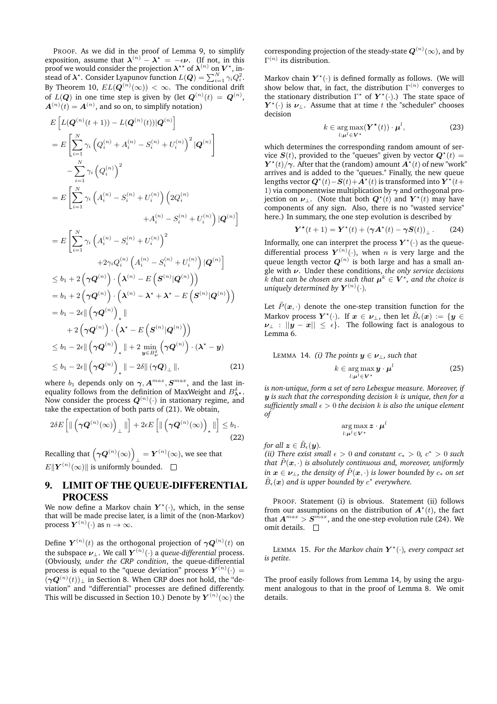PROOF. As we did in the proof of Lemma 9, to simplify exposition, assume that  $\lambda^{(n)} - \lambda^* = -\epsilon \nu$ . (If not, in this proof we would consider the projection  $\boldsymbol{\lambda}^{\star\star}$  of  $\boldsymbol{\lambda}^{(n)}$  on  $V^\star$ , instead of  $\boldsymbol{\lambda}^\star$ . Consider Lyapunov function  $L(\boldsymbol{Q}) = \sum_{i=1}^N \gamma_i Q_i^2$ . By Theorem 10,  $EL(\boldsymbol{Q}^{(n)}(\infty))\,<\,\infty.$  The conditional drift of  $L(\boldsymbol{Q})$  in one time step is given by (let  $\boldsymbol{Q}^{(n)}(t)\,=\,\boldsymbol{Q}^{(n)},$  $A^{(n)}(t) = A^{(n)}$ , and so on, to simplify notation)

$$
E\left[L(\mathbf{Q}^{(n)}(t+1)) - L(\mathbf{Q}^{(n)}(t))|\mathbf{Q}^{(n)}\right]
$$
  
\n
$$
= E\left[\sum_{i=1}^{N} \gamma_i \left(Q_i^{(n)} + A_i^{(n)} - S_i^{(n)} + U_i^{(n)}\right)^2 |\mathbf{Q}^{(n)}\right]
$$
  
\n
$$
- \sum_{i=1}^{N} \gamma_i \left(Q_i^{(n)}\right)^2
$$
  
\n
$$
= E\left[\sum_{i=1}^{N} \gamma_i \left(A_i^{(n)} - S_i^{(n)} + U_i^{(n)}\right) \left(2Q_i^{(n)} + A_i^{(n)} - S_i^{(n)} + U_i^{(n)}\right) |\mathbf{Q}^{(n)}\right]
$$

$$
=E\left[\sum_{i=1}^{N}\gamma_{i}\left(A_{i}^{(n)}-S_{i}^{(n)}+U_{i}^{(n)}\right)^{2}\right.+2\gamma_{i}Q_{i}^{(n)}\left(A_{i}^{(n)}-S_{i}^{(n)}+U_{i}^{(n)}\right)|\mathbf{Q}^{(n)}\right]\leq b_{1}+2\left(\gamma\mathbf{Q}^{(n)}\right)\cdot\left(\boldsymbol{\lambda}^{(n)}-E\left(\mathbf{S}^{(n)}|\mathbf{Q}^{(n)}\right)\right)= b_{1}+2\left(\gamma\mathbf{Q}^{(n)}\right)\cdot\left(\boldsymbol{\lambda}^{(n)}-\boldsymbol{\lambda}^{*}+\boldsymbol{\lambda}^{*}-E\left(\mathbf{S}^{(n)}|\mathbf{Q}^{(n)}\right)\right)+2\left(\gamma\mathbf{Q}^{(n)}\right)\cdot\left(\boldsymbol{\lambda}^{*}-E\left(\mathbf{S}^{(n)}|\mathbf{Q}^{(n)}\right)\right)\leq b_{1}-2\epsilon\|\left(\gamma\mathbf{Q}^{(n)}\right)_{\star}\|+2\min_{\mathbf{y}\in B_{\nu}^{2}}\left(\gamma\mathbf{Q}^{(n)}\right)\cdot\left(\boldsymbol{\lambda}^{*}-\mathbf{y}\right)\leq b_{1}-2\epsilon\|\left(\gamma\mathbf{Q}^{(n)}\right)_{\star}\|+2\min_{\mathbf{y}\in B_{\nu}^{2}}\left(\gamma\mathbf{Q}^{(n)}\right)\cdot\left(\boldsymbol{\lambda}^{*}-\mathbf{y}\right)\leq b_{1}-2\epsilon\|\left(\gamma\mathbf{Q}^{(n)}\right)_{\star}\|-2\delta\|(\gamma\mathbf{Q})_{\perp}\|,
$$
\n(21)

where  $b_1$  depends only on  $\gamma$ ,  $A^{max}$ ,  $S^{max}$ , and the last inequality follows from the definition of MaxWeight and  $B_{\lambda^*}^{\delta}$ . Now consider the process  $\boldsymbol{Q}^{(n)}(\cdot)$  in stationary regime, and take the expectation of both parts of (21). We obtain,

$$
2\delta E\left[\|\left(\gamma \boldsymbol{Q}^{(n)}(\infty)\right)_{\perp}\|\right] + 2\epsilon E\left[\|\left(\gamma \boldsymbol{Q}^{(n)}(\infty)\right)_{\star}\|\right] \leq b_1. \tag{22}
$$

Recalling that  $(\gamma \mathbf{Q}^{(n)}(\infty))$  $\mathbf{Y}^{(n)}(\infty)$ , we see that  $E\Vert \boldsymbol{Y}^{(n)}(\infty)\Vert$  is uniformly bounded.

# 9. LIMIT OF THE QUEUE-DIFFERENTIAL PROCESS

We now define a Markov chain  $Y^{\star}(\cdot)$ , which, in the sense that will be made precise later, is a limit of the (non-Markov) process  $\boldsymbol{Y}^{(n)}(\cdot)$  as  $n \to \infty$ .

Define  $\boldsymbol{Y}^{(n)}(t)$  as the orthogonal projection of  $\boldsymbol{\gamma Q}^{(n)}(t)$  on the subspace  $\boldsymbol \nu_\perp.$  We call  $\boldsymbol Y^{(n)}(\cdot)$  a *queue-differential* process. (Obviously, *under the CRP condition*, the queue-differential process is equal to the "queue deviation" process  $Y^{(n)}(\cdot) =$  $(\gamma \mathbf{Q}^{(n)}(t))_{\perp}$  in Section 8. When CRP does not hold, the "deviation" and "differential" processes are defined differently. This will be discussed in Section 10.) Denote by  $\bm{Y}^{(n)}(\infty)$  the

corresponding projection of the steady-state  $\bm{Q}^{(n)}(\infty)$ , and by  $\Gamma^{(n)}$  its distribution.

Markov chain  $Y^{\star}(\cdot)$  is defined formally as follows. (We will show below that, in fact, the distribution  $\Gamma^{(n)}$  converges to the stationary distribution  $\Gamma^*$  of  $Y^*(\cdot)$ .) The state space of  $Y^{\star}(\cdot)$  is  $\nu_{\perp}$ . Assume that at time t the "scheduler" chooses decision

$$
k \in \underset{l:\boldsymbol{\mu}^{l} \in \mathbf{V}^{\star}}{\arg \max} (\boldsymbol{Y}^{\star}(t)) \cdot \boldsymbol{\mu}^{l}, \tag{23}
$$

which determines the corresponding random amount of service  $S(t)$ , provided to the "queues" given by vector  $\mathbf{Q}^{\star}(t)$  =  $Y^*(t)/\gamma$ . After that the (random) amount  $A^*(t)$  of new "work" arrives and is added to the "queues." Finally, the new queue lengths vector  $\bm{Q}^{\star}(t) \!-\! \bm{S}(t) \!+\! \bm{A}^{\star}(t)$  is transformed into  $\bm{Y}^{\star}(t)$ 1) via componentwise multiplication by  $\gamma$  and orthogonal projection on  $\nu_{\perp}$ . (Note that both  $\mathbf{Q}^{\star}(t)$  and  $\mathbf{Y}^{\star}(t)$  may have components of any sign. Also, there is no "wasted service" here.) In summary, the one step evolution is described by

$$
\boldsymbol{Y}^{\star}(t+1) = \boldsymbol{Y}^{\star}(t) + (\boldsymbol{\gamma}\boldsymbol{A}^{\star}(t) - \boldsymbol{\gamma}\boldsymbol{S}(t))_{\perp}.
$$
 (24)

Informally, one can interpret the process  $Y^{\star}(\cdot)$  as the queuedifferential process  $\boldsymbol{Y}^{(n)}(\cdot),$  when  $n$  is very large and the queue length vector  $\boldsymbol{Q}^{(n)}$  is both large and has a small angle with ν. Under these conditions, *the only service decisions*  $k$  that can be chosen are such that  $\boldsymbol{\mu}^k \in \boldsymbol{V}^\star,$  and the choice is uniquely determined by  $\boldsymbol{Y}^{(n)}(\cdot)$ .

Let  $\tilde{P}(x, \cdot)$  denote the one-step transition function for the Markov process  $\bm{Y}^\star(\cdot).$  If  $\bm{x}\,\in\,\bm{\nu}_\perp,$  then let  $\tilde{B}_\epsilon(\bm{x})\,:=\,\{\bm{y}\,\in\,\,$  $\nu_{\perp}$  :  $||\mathbf{y} - \mathbf{x}|| \leq \epsilon$ . The following fact is analogous to Lemma 6.

LEMMA 14. *(i)* The points  $y \in \nu_{\perp}$ , such that

$$
k \in \underset{l:\boldsymbol{\mu}^{l} \in \mathbf{V}^{\star}}{\arg \max} \boldsymbol{y} \cdot \boldsymbol{\mu}^{l} \tag{25}
$$

*is non-unique, form a set of zero Lebesgue measure. Moreover, if* y *is such that the corresponding decision* k *is unique, then for a sufficiently small*  $\epsilon > 0$  *the decision*  $k$  *is also the unique element of*

$$
\argmax_{l:\boldsymbol{\mu}^l\in\boldsymbol{V}^{\star}}\boldsymbol{z}\cdot\boldsymbol{\mu}^l
$$

*for all*  $z \in \tilde{B}_{\epsilon}(\boldsymbol{u})$ .

*(ii)* There exist small  $\epsilon > 0$  and constant  $c_* > 0$ ,  $c^* > 0$  such *that*  $\tilde{P}(\mathbf{x}, \cdot)$  *is absolutely continuous and, moreover, uniformly in*  $x \in \nu_{\perp}$ , the density of  $\tilde{P}(x, \cdot)$  *is lower bounded by*  $c_*$  *on set*  $\tilde{B}_{\epsilon}({\bm{x}})$  and is upper bounded by  $c^*$  everywhere.

PROOF. Statement (i) is obvious. Statement (ii) follows from our assumptions on the distribution of  $\mathbf{A}^{\star}(t)$ , the fact that  $A^{max} > S^{max}$ , and the one-step evolution rule (24). We omit details.  $\square$ 

LEMMA 15. For the Markov chain  $Y^{\star}(\cdot)$ , every compact set *is petite.*

The proof easily follows from Lemma 14, by using the argument analogous to that in the proof of Lemma 8. We omit details.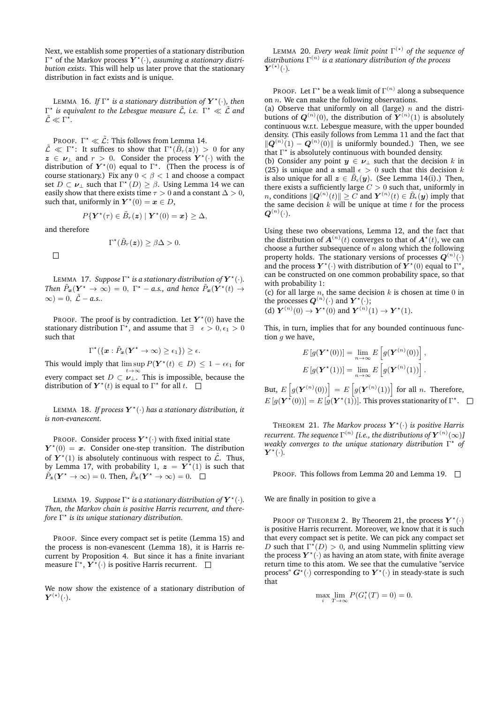Next, we establish some properties of a stationary distribution Γ<sup>\*</sup> of the Markov process  $\overline{Y}^{\star}(\cdot)$ , assuming a stationary distri*bution exists*. This will help us later prove that the stationary distribution in fact exists and is unique.

LEMMA 16. If  $\Gamma^*$  is a stationary distribution of  $\bm{Y}^{\star}(\cdot)$ , then  $Γ<sup>∗</sup>$  *is equivalent to the Lebesgue measure L̃, i.e.*  $Γ<sup>∗</sup> ≪ L̄$  *and*  $\tilde{\mathcal{L}} \ll \Gamma^{\star}.$ 

PROOF.  $\Gamma^{\star} \ll \tilde{\mathcal{L}}$ : This follows from Lemma 14.  $\tilde{\mathcal{L}} \ll \Gamma^*$ : It suffices to show that  $\Gamma^*(\tilde{B}_r(z)) > 0$  for any  $z \in \nu_{\perp}$  and  $r > 0$ . Consider the process  $Y^{\star}(\cdot)$  with the distribution of  $Y^*(0)$  equal to  $\Gamma^*$ . (Then the process is of course stationary.) Fix any  $0 < \beta < 1$  and choose a compact set  $D \subset \nu_{\perp}$  such that  $\Gamma^*(D) \ge \beta$ . Using Lemma 14 we can easily show that there exists time  $\tau>0$  and a constant  $\Delta>0,$ such that, uniformly in  $Y^*(0) = x \in D$ ,

$$
P\{\boldsymbol{Y}^{\star}(\tau) \in \tilde{B}_r(\boldsymbol{z}) \mid \boldsymbol{Y}^{\star}(0) = \boldsymbol{x}\} \geq \Delta,
$$

and therefore

$$
\Gamma^{\star}(\tilde{B}_r(\boldsymbol{z})) \geq \beta \Delta > 0.
$$

 $\Box$ 

LEMMA 17. *Suppose*  $\Gamma^*$  *is a stationary distribution of*  $\boldsymbol{Y}^*(\cdot)$ *.* Then  $\tilde{P}_{\bm{x}}(\bm{Y}^\star \to \infty) = 0$ ,  $\Gamma^\star$  – *a.s., and hence*  $\tilde{P}_{\bm{x}}(\bm{Y}^\star(t) \to$  $\infty$ ) = 0,  $\tilde{\mathcal{L}}$  – a.s..

PROOF. The proof is by contradiction. Let  $Y^{\star}(0)$  have the stationary distribution  $\Gamma^{\star}$ , and assume that  $\exists \epsilon > 0, \epsilon_1 > 0$ such that

$$
\Gamma^{\star}(\{\boldsymbol{x}:\tilde{P}_{\boldsymbol{x}}(\boldsymbol{Y}^{\star}\to\infty)\geq\epsilon_{1}\})\geq\epsilon.
$$

This would imply that  $\limsup P(Y^*(t) \in D) \leq 1 - \epsilon \epsilon_1$  for every compact set  $D \subset \overset{t\to\infty}{\nu_\perp}$ . This is impossible, because the distribution of  $Y^*(t)$  is equal to  $\Gamma^*$  for all t.

LEMMA 18. If process  $Y^{\star}(\cdot)$  has a stationary distribution, it *is non-evanescent.*

PROOF. Consider process  $Y^{\star}(\cdot)$  with fixed initial state  $Y^*(0) = x$ . Consider one-step transition. The distribution of  $Y^*(1)$  is absolutely continuous with respect to  $\tilde{\mathcal{L}}$ . Thus, by Lemma 17, with probability 1,  $\boldsymbol{z} = \boldsymbol{Y}^{\star}(1)$  is such that  $\tilde{P}_{\boldsymbol{z}}(\boldsymbol{Y}^\star \to \infty) = 0$ . Then,  $\tilde{P}_{\boldsymbol{x}}(\boldsymbol{Y}^\star \to \infty) = 0$ .

LEMMA 19. *Suppose*  $\Gamma^*$  *is a stationary distribution of*  $\boldsymbol{Y}^*(\cdot)$ *. Then, the Markov chain is positive Harris recurrent, and therefore* Γ ? *is its unique stationary distribution.*

PROOF. Since every compact set is petite (Lemma 15) and the process is non-evanescent (Lemma 18), it is Harris recurrent by Proposition 4. But since it has a finite invariant measure  $\Gamma^{\star}, \boldsymbol{Y}^{\star}(\cdot)$  is positive Harris recurrent.

We now show the existence of a stationary distribution of  $\boldsymbol{Y}^{(\star)}(\cdot).$ 

LEMMA 20. *Every weak limit point* Γ (?) *of the sequence of distributions* Γ (n) *is a stationary distribution of the process*  $\boldsymbol{Y}^{(\star)}(\cdot).$ 

PROOF. Let  $\Gamma^\star$  be a weak limit of  $\Gamma^{(n)}$  along a subsequence on  $n$ . We can make the following observations.

(a) Observe that uniformly on all (large)  $n$  and the distributions of  $\boldsymbol{Q}^{(n)}(0),$  the distribution of  $\boldsymbol{Y}^{(n)}(1)$  is absolutely continuous w.r.t. Lebesgue measure, with the upper bounded density. (This easily follows from Lemma 11 and the fact that  $\|\mathbf{Q}^{(n)}(1)-\mathbf{Q}^{(n)}(0)\|$  is uniformly bounded.) Then, we see that  $\Gamma^*$  is absolutely continuous with bounded density.

(b) Consider any point  $y \in \nu_{\perp}$  such that the decision k in (25) is unique and a small  $\epsilon > 0$  such that this decision k is also unique for all  $z \in \tilde{B}_{\epsilon}(y)$ . (See Lemma 14(i).) Then, there exists a sufficiently large  $C > 0$  such that, uniformly in n, conditions  $\|\mathbf{Q}^{(n)}(t)\| \geq C$  and  $\mathbf{Y}^{(n)}(t) \in \tilde{B}_{\epsilon}(\mathbf{y})$  imply that the same decision  $k$  will be unique at time  $t$  for the process  $\boldsymbol{Q}^{(n)}(\cdot).$ 

Using these two observations, Lemma 12, and the fact that the distribution of  $\boldsymbol{A}^{(n)}(t)$  converges to that of  $\boldsymbol{A}^\star(t),$  we can choose a further subsequence of  $n$  along which the following property holds. The stationary versions of processes  $\bm{Q}^{(n)}(\cdot)$ and the process  $Y^{\star}(\cdot)$  with distribution of  $Y^{\star}(0)$  equal to  $\Gamma^{\star}$ , can be constructed on one common probability space, so that with probability 1:

(c) for all large  $n$ , the same decision  $k$  is chosen at time 0 in the processes  $\boldsymbol{Q}^{(n)}(\cdot)$  and  $\boldsymbol{Y}^{\star}(\cdot);$ 

(d)  $Y^{(n)}(0) \to Y^*(0)$  and  $Y^{(n)}(1) \to Y^*(1)$ .

This, in turn, implies that for any bounded continuous function  $q$  we have,

$$
E[g(\mathbf{Y}^*(0))] = \lim_{n \to \infty} E\left[g(\mathbf{Y}^{(n)}(0))\right],
$$
  

$$
E[g(\mathbf{Y}^*(1))] = \lim_{n \to \infty} E\left[g(\mathbf{Y}^{(n)}(1))\right].
$$

But,  $E\left[g(\boldsymbol{Y}^{(n)}(0))\right] = E\left[g(\boldsymbol{Y}^{(n)}(1))\right]$  for all n. Therefore,  $E[g(Y^{\star}(0))] = E[g(Y^{\star}(1))]$ . This proves stationarity of  $\Gamma^*$ .

THEOREM 21. The Markov process  $Y^{\star}(\cdot)$  is positive Harris  ${\it recurrent.}$  The sequence  $\Gamma^{(n)}$  [i.e., the distributions of  $\boldsymbol{Y}^{(n)}(\infty) J$ *weakly converges to the unique stationary distribution* Γ ? *of*  $\boldsymbol{Y}^{\star}(\cdot).$ 

PROOF. This follows from Lemma 20 and Lemma 19.  $\Box$ 

We are finally in position to give a

PROOF OF THEOREM 2. By Theorem 21, the process  $Y^{\star}(\cdot)$ is positive Harris recurrent. Moreover, we know that it is such that every compact set is petite. We can pick any compact set D such that  $\Gamma^{\star}(D) > 0$ , and using Nummelin splitting view the process  $Y^{\star}(\cdot)$  as having an atom state, with finite average return time to this atom. We see that the cumulative "service process"  $G^{\star}(\cdot)$  corresponding to  $Y^{\star}(\cdot)$  in steady-state is such that

$$
\max_i \lim_{T \to \infty} P(G_i^{\star}(T) = 0) = 0.
$$